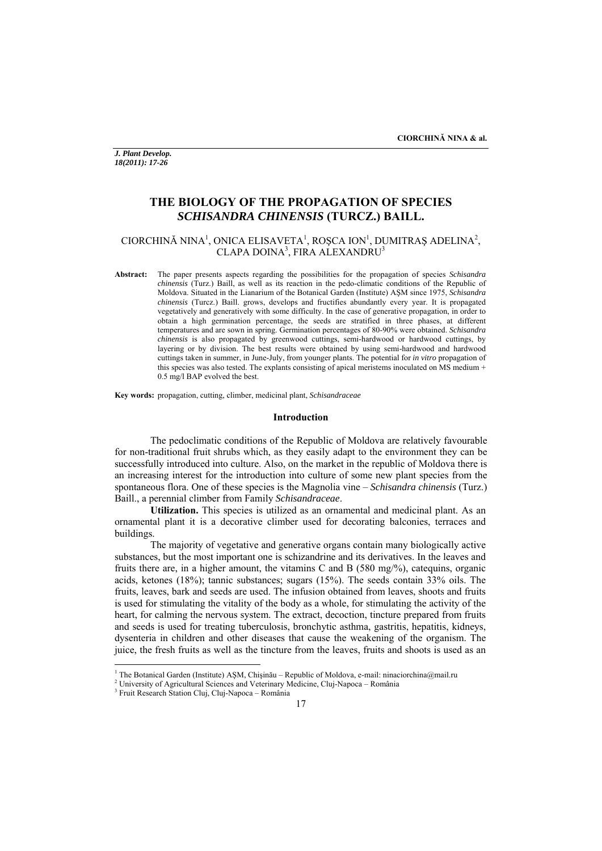*J. Plant Develop. 18(2011): 17-26* 

# **THE BIOLOGY OF THE PROPAGATION OF SPECIES**  *SCHISANDRA CHINENSIS* **(TURCZ.) BAILL.**

# CIORCHINĂ NINA<sup>1</sup>, ONICA ELISAVETA<sup>1</sup>, ROȘCA ION<sup>1</sup>, DUMITRAȘ ADELINA<sup>2</sup>, CLAPA DOINA<sup>3</sup>, FIRA ALEXANDRU<sup>3</sup>

**Abstract:** The paper presents aspects regarding the possibilities for the propagation of species *Schisandra chinensis* (Turz.) Baill, as well as its reaction in the pedo-climatic conditions of the Republic of Moldova. Situated in the Lianarium of the Botanical Garden (Institute) AŞM since 1975, *Schisandra chinensis* (Turcz.) Baill. grows, develops and fructifies abundantly every year. It is propagated vegetatively and generatively with some difficulty. In the case of generative propagation, in order to obtain a high germination percentage, the seeds are stratified in three phases, at different temperatures and are sown in spring. Germination percentages of 80-90% were obtained. *Schisandra chinensis* is also propagated by greenwood cuttings, semi-hardwood or hardwood cuttings, by layering or by division. The best results were obtained by using semi-hardwood and hardwood cuttings taken in summer, in June-July, from younger plants. The potential for *in vitro* propagation of this species was also tested. The explants consisting of apical meristems inoculated on MS medium + 0.5 mg/l BAP evolved the best.

**Key words:** propagation, cutting, climber, medicinal plant, *Schisandraceae* 

### **Introduction**

The pedoclimatic conditions of the Republic of Moldova are relatively favourable for non-traditional fruit shrubs which, as they easily adapt to the environment they can be successfully introduced into culture. Also, on the market in the republic of Moldova there is an increasing interest for the introduction into culture of some new plant species from the spontaneous flora. One of these species is the Magnolia vine – *Schisandra chinensis* (Turz.) Baill., a perennial climber from Family *Schisandraceae*.

 **Utilization.** This species is utilized as an ornamental and medicinal plant. As an ornamental plant it is a decorative climber used for decorating balconies, terraces and buildings.

 The majority of vegetative and generative organs contain many biologically active substances, but the most important one is schizandrine and its derivatives. In the leaves and fruits there are, in a higher amount, the vitamins C and B (580 mg/%), catequins, organic acids, ketones (18%); tannic substances; sugars (15%). The seeds contain 33% oils. The fruits, leaves, bark and seeds are used. The infusion obtained from leaves, shoots and fruits is used for stimulating the vitality of the body as a whole, for stimulating the activity of the heart, for calming the nervous system. The extract, decoction, tincture prepared from fruits and seeds is used for treating tuberculosis, bronchytic asthma, gastritis, hepatitis, kidneys, dysenteria in children and other diseases that cause the weakening of the organism. The juice, the fresh fruits as well as the tincture from the leaves, fruits and shoots is used as an

<sup>&</sup>lt;sup>1</sup> The Botanical Garden (Institute) AŞM, Chişinău – Republic of Moldova, e-mail: ninaciorchina@mail.ru<br><sup>2</sup> University of Agricultural Sciences and Veterinary Medicine, Clui Napega, Pemânia

University of Agricultural Sciences and Veterinary Medicine, Cluj-Napoca – România 3

<sup>&</sup>lt;sup>3</sup> Fruit Research Station Cluj, Cluj-Napoca – România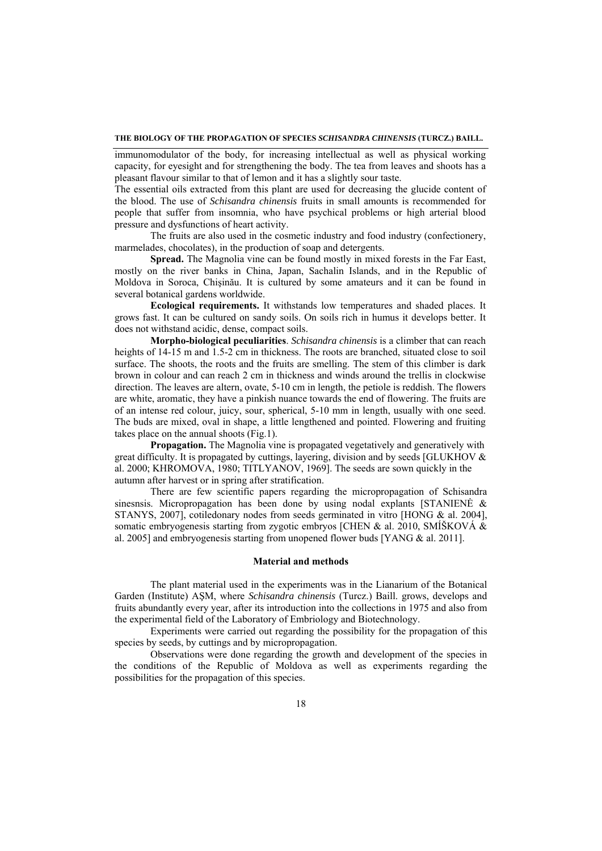### **THE BIOLOGY OF THE PROPAGATION OF SPECIES** *SCHISANDRA CHINENSIS* **(TURCZ.) BAILL.**

immunomodulator of the body, for increasing intellectual as well as physical working capacity, for eyesight and for strengthening the body. The tea from leaves and shoots has a pleasant flavour similar to that of lemon and it has a slightly sour taste.

The essential oils extracted from this plant are used for decreasing the glucide content of the blood. The use of *Schisandra chinensis* fruits in small amounts is recommended for people that suffer from insomnia, who have psychical problems or high arterial blood pressure and dysfunctions of heart activity.

 The fruits are also used in the cosmetic industry and food industry (confectionery, marmelades, chocolates), in the production of soap and detergents.

 **Spread.** The Magnolia vine can be found mostly in mixed forests in the Far East, mostly on the river banks in China, Japan, Sachalin Islands, and in the Republic of Moldova in Soroca, Chişinău. It is cultured by some amateurs and it can be found in several botanical gardens worldwide.

**Ecological requirements.** It withstands low temperatures and shaded places. It grows fast. It can be cultured on sandy soils. On soils rich in humus it develops better. It does not withstand acidic, dense, compact soils.

**Morpho-biological peculiarities**. *Schisandra chinensis* is a climber that can reach heights of 14-15 m and 1.5-2 cm in thickness. The roots are branched, situated close to soil surface. The shoots, the roots and the fruits are smelling. The stem of this climber is dark brown in colour and can reach 2 cm in thickness and winds around the trellis in clockwise direction. The leaves are altern, ovate, 5-10 cm in length, the petiole is reddish. The flowers are white, aromatic, they have a pinkish nuance towards the end of flowering. The fruits are of an intense red colour, juicy, sour, spherical, 5-10 mm in length, usually with one seed. The buds are mixed, oval in shape, a little lengthened and pointed. Flowering and fruiting takes place on the annual shoots (Fig.1).

**Propagation.** The Magnolia vine is propagated vegetatively and generatively with great difficulty. It is propagated by cuttings, layering, division and by seeds [GLUKHOV & al. 2000; KHROMOVA, 1980; TITLYANOV, 1969]. The seeds are sown quickly in the autumn after harvest or in spring after stratification.

 There are few scientific papers regarding the micropropagation of Schisandra sinesnsis. Micropropagation has been done by using nodal explants [STANIENĖ  $\&$ STANYS, 2007], cotiledonary nodes from seeds germinated in vitro [HONG & al. 2004], somatic embryogenesis starting from zygotic embryos [CHEN & al. 2010, SMÍŠKOVÁ & al. 2005] and embryogenesis starting from unopened flower buds [YANG & al. 2011].

#### **Material and methods**

The plant material used in the experiments was in the Lianarium of the Botanical Garden (Institute) AŞM, where *Schisandra chinensis* (Turcz.) Baill. grows, develops and fruits abundantly every year, after its introduction into the collections in 1975 and also from the experimental field of the Laboratory of Embriology and Biotechnology.

Experiments were carried out regarding the possibility for the propagation of this species by seeds, by cuttings and by micropropagation.

Observations were done regarding the growth and development of the species in the conditions of the Republic of Moldova as well as experiments regarding the possibilities for the propagation of this species.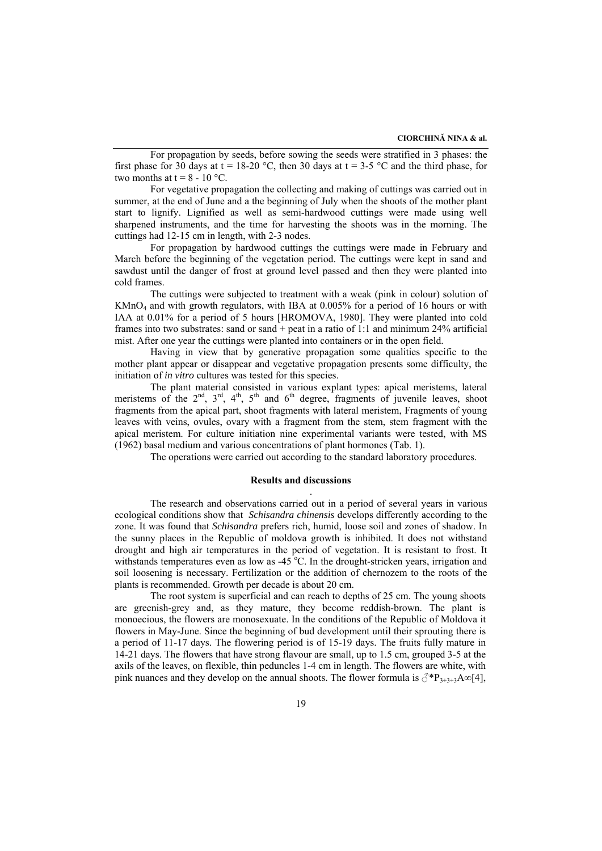For propagation by seeds, before sowing the seeds were stratified in 3 phases: the first phase for 30 days at  $t = 18{\text -}20$  °C, then 30 days at  $t = 3{\text -}5$  °C and the third phase, for two months at  $t = 8 - 10$  °C.

For vegetative propagation the collecting and making of cuttings was carried out in summer, at the end of June and a the beginning of July when the shoots of the mother plant start to lignify. Lignified as well as semi-hardwood cuttings were made using well sharpened instruments, and the time for harvesting the shoots was in the morning. The cuttings had 12-15 cm in length, with 2-3 nodes.

For propagation by hardwood cuttings the cuttings were made in February and March before the beginning of the vegetation period. The cuttings were kept in sand and sawdust until the danger of frost at ground level passed and then they were planted into cold frames.

The cuttings were subjected to treatment with a weak (pink in colour) solution of  $KMnO<sub>4</sub>$  and with growth regulators, with IBA at 0.005% for a period of 16 hours or with IAA at 0.01% for a period of 5 hours [HROMOVA, 1980]. They were planted into cold frames into two substrates: sand or sand + peat in a ratio of 1:1 and minimum 24% artificial mist. After one year the cuttings were planted into containers or in the open field.

Having in view that by generative propagation some qualities specific to the mother plant appear or disappear and vegetative propagation presents some difficulty, the initiation of *in vitro* cultures was tested for this species.

 The plant material consisted in various explant types: apical meristems, lateral meristems of the  $2<sup>nd</sup>$ ,  $3<sup>rd</sup>$ ,  $4<sup>th</sup>$ ,  $5<sup>th</sup>$  and  $6<sup>th</sup>$  degree, fragments of juvenile leaves, shoot fragments from the apical part, shoot fragments with lateral meristem, Fragments of young leaves with veins, ovules, ovary with a fragment from the stem, stem fragment with the apical meristem. For culture initiation nine experimental variants were tested, with MS (1962) basal medium and various concentrations of plant hormones (Tab. 1).

The operations were carried out according to the standard laboratory procedures.

### **Results and discussions**

.

 The research and observations carried out in a period of several years in various ecological conditions show that *Schisandra chinensis* develops differently according to the zone. It was found that *Schisandra* prefers rich, humid, loose soil and zones of shadow. In the sunny places in the Republic of moldova growth is inhibited. It does not withstand drought and high air temperatures in the period of vegetation. It is resistant to frost. It withstands temperatures even as low as  $-45^{\circ}$ C. In the drought-stricken years, irrigation and soil loosening is necessary. Fertilization or the addition of chernozem to the roots of the plants is recommended. Growth per decade is about 20 cm.

 The root system is superficial and can reach to depths of 25 cm. The young shoots are greenish-grey and, as they mature, they become reddish-brown. The plant is monoecious, the flowers are monosexuate. In the conditions of the Republic of Moldova it flowers in May-June. Since the beginning of bud development until their sprouting there is a period of 11-17 days. The flowering period is of 15-19 days. The fruits fully mature in 14-21 days. The flowers that have strong flavour are small, up to 1.5 cm, grouped 3-5 at the axils of the leaves, on flexible, thin peduncles 1-4 cm in length. The flowers are white, with pink nuances and they develop on the annual shoots. The flower formula is  $\mathcal{J}^*P_{3+3+3}A\infty[4]$ ,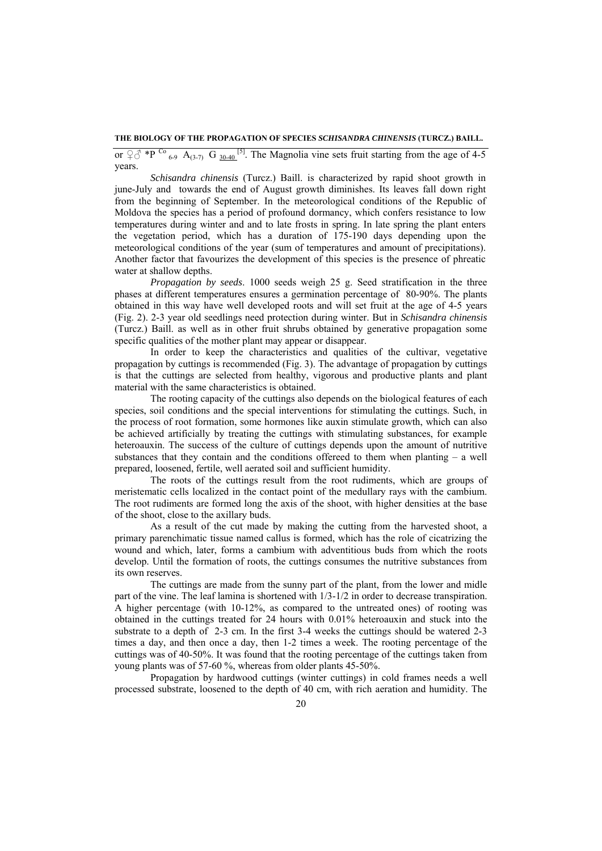**THE BIOLOGY OF THE PROPAGATION OF SPECIES** *SCHISANDRA CHINENSIS* **(TURCZ.) BAILL.** 

or  $\varphi \circ \varphi^*$  \*P <sup>Co</sup> <sub>6-9</sub> A<sub>(3-7)</sub> G <sub>30-40</sub> <sup>[5]</sup>. The Magnolia vine sets fruit starting from the age of 4-5 years.

*Schisandra chinensis* (Turcz.) Baill. is characterized by rapid shoot growth in june-July and towards the end of August growth diminishes. Its leaves fall down right from the beginning of September. In the meteorological conditions of the Republic of Moldova the species has a period of profound dormancy, which confers resistance to low temperatures during winter and and to late frosts in spring. In late spring the plant enters the vegetation period, which has a duration of 175-190 days depending upon the meteorological conditions of the year (sum of temperatures and amount of precipitations). Another factor that favourizes the development of this species is the presence of phreatic water at shallow depths.

*Propagation by seeds*. 1000 seeds weigh 25 g. Seed stratification in the three phases at different temperatures ensures a germination percentage of 80-90%. The plants obtained in this way have well developed roots and will set fruit at the age of 4-5 years (Fig. 2). 2-3 year old seedlings need protection during winter. But in *Schisandra chinensis* (Turcz.) Baill. as well as in other fruit shrubs obtained by generative propagation some specific qualities of the mother plant may appear or disappear.

In order to keep the characteristics and qualities of the cultivar, vegetative propagation by cuttings is recommended (Fig. 3). The advantage of propagation by cuttings is that the cuttings are selected from healthy, vigorous and productive plants and plant material with the same characteristics is obtained.

The rooting capacity of the cuttings also depends on the biological features of each species, soil conditions and the special interventions for stimulating the cuttings. Such, in the process of root formation, some hormones like auxin stimulate growth, which can also be achieved artificially by treating the cuttings with stimulating substances, for example heteroauxin. The success of the culture of cuttings depends upon the amount of nutritive substances that they contain and the conditions offereed to them when planting – a well prepared, loosened, fertile, well aerated soil and sufficient humidity.

The roots of the cuttings result from the root rudiments, which are groups of meristematic cells localized in the contact point of the medullary rays with the cambium. The root rudiments are formed long the axis of the shoot, with higher densities at the base of the shoot, close to the axillary buds.

As a result of the cut made by making the cutting from the harvested shoot, a primary parenchimatic tissue named callus is formed, which has the role of cicatrizing the wound and which, later, forms a cambium with adventitious buds from which the roots develop. Until the formation of roots, the cuttings consumes the nutritive substances from its own reserves.

The cuttings are made from the sunny part of the plant, from the lower and midle part of the vine. The leaf lamina is shortened with 1/3-1/2 in order to decrease transpiration. A higher percentage (with 10-12%, as compared to the untreated ones) of rooting was obtained in the cuttings treated for 24 hours with 0.01% heteroauxin and stuck into the substrate to a depth of 2-3 cm. In the first 3-4 weeks the cuttings should be watered 2-3 times a day, and then once a day, then 1-2 times a week. The rooting percentage of the cuttings was of 40-50%. It was found that the rooting percentage of the cuttings taken from young plants was of 57-60 %, whereas from older plants 45-50%.

Propagation by hardwood cuttings (winter cuttings) in cold frames needs a well processed substrate, loosened to the depth of 40 cm, with rich aeration and humidity. The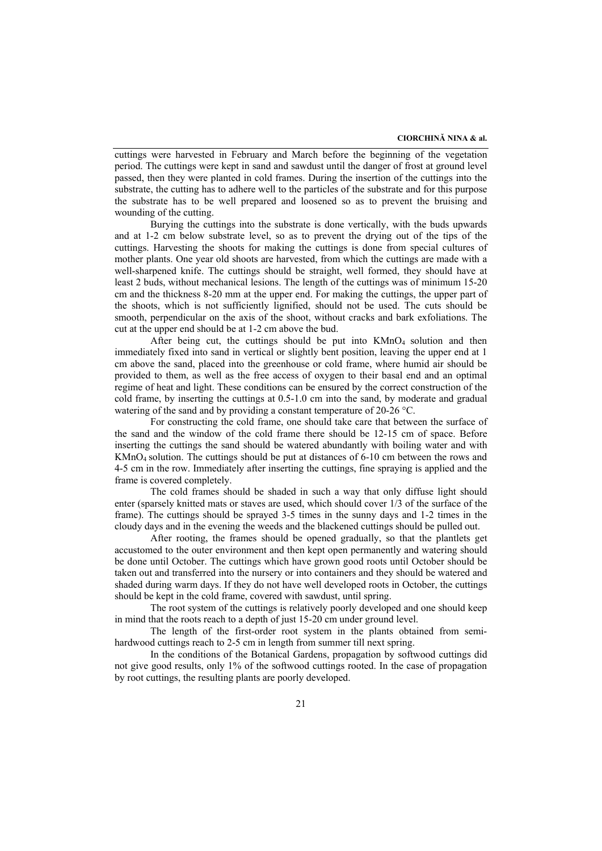cuttings were harvested in February and March before the beginning of the vegetation period. The cuttings were kept in sand and sawdust until the danger of frost at ground level passed, then they were planted in cold frames. During the insertion of the cuttings into the substrate, the cutting has to adhere well to the particles of the substrate and for this purpose the substrate has to be well prepared and loosened so as to prevent the bruising and wounding of the cutting.

Burying the cuttings into the substrate is done vertically, with the buds upwards and at 1-2 cm below substrate level, so as to prevent the drying out of the tips of the cuttings. Harvesting the shoots for making the cuttings is done from special cultures of mother plants. One year old shoots are harvested, from which the cuttings are made with a well-sharpened knife. The cuttings should be straight, well formed, they should have at least 2 buds, without mechanical lesions. The length of the cuttings was of minimum 15-20 cm and the thickness 8-20 mm at the upper end. For making the cuttings, the upper part of the shoots, which is not sufficiently lignified, should not be used. The cuts should be smooth, perpendicular on the axis of the shoot, without cracks and bark exfoliations. The cut at the upper end should be at 1-2 cm above the bud.

After being cut, the cuttings should be put into  $K MnO<sub>4</sub>$  solution and then immediately fixed into sand in vertical or slightly bent position, leaving the upper end at 1 cm above the sand, placed into the greenhouse or cold frame, where humid air should be provided to them, as well as the free access of oxygen to their basal end and an optimal regime of heat and light. These conditions can be ensured by the correct construction of the cold frame, by inserting the cuttings at 0.5-1.0 cm into the sand, by moderate and gradual watering of the sand and by providing a constant temperature of 20-26 °C.

 For constructing the cold frame, one should take care that between the surface of the sand and the window of the cold frame there should be 12-15 cm of space. Before inserting the cuttings the sand should be watered abundantly with boiling water and with KMnO4 solution. The cuttings should be put at distances of 6-10 cm between the rows and 4-5 cm in the row. Immediately after inserting the cuttings, fine spraying is applied and the frame is covered completely.

 The cold frames should be shaded in such a way that only diffuse light should enter (sparsely knitted mats or staves are used, which should cover 1/3 of the surface of the frame). The cuttings should be sprayed 3-5 times in the sunny days and 1-2 times in the cloudy days and in the evening the weeds and the blackened cuttings should be pulled out. After rooting, the frames should be opened gradually, so that the plantlets get

accustomed to the outer environment and then kept open permanently and watering should be done until October. The cuttings which have grown good roots until October should be taken out and transferred into the nursery or into containers and they should be watered and shaded during warm days. If they do not have well developed roots in October, the cuttings should be kept in the cold frame, covered with sawdust, until spring.

The root system of the cuttings is relatively poorly developed and one should keep in mind that the roots reach to a depth of just 15-20 cm under ground level.

The length of the first-order root system in the plants obtained from semihardwood cuttings reach to 2-5 cm in length from summer till next spring.

In the conditions of the Botanical Gardens, propagation by softwood cuttings did not give good results, only 1% of the softwood cuttings rooted. In the case of propagation by root cuttings, the resulting plants are poorly developed.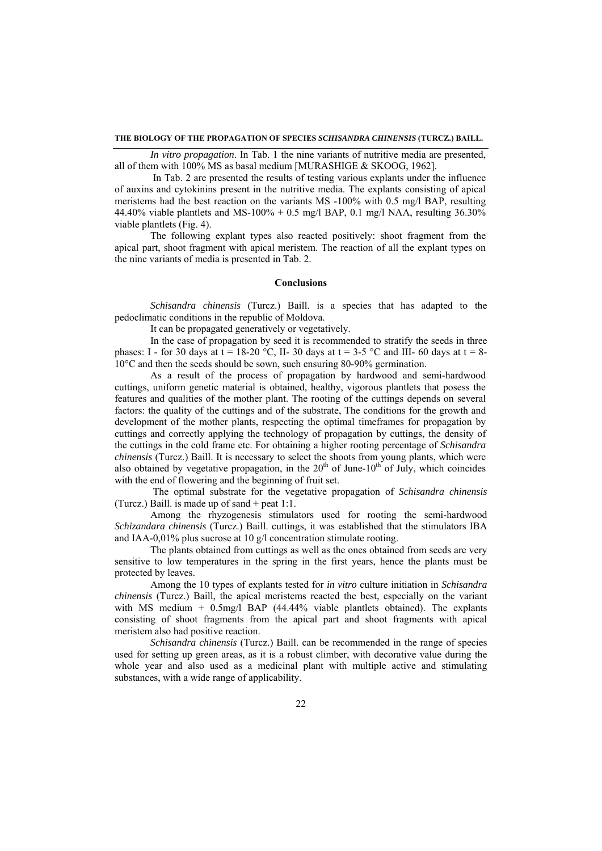*In vitro propagation*. In Tab. 1 the nine variants of nutritive media are presented, all of them with 100% MS as basal medium [MURASHIGE & SKOOG, 1962].

 In Tab. 2 are presented the results of testing various explants under the influence of auxins and cytokinins present in the nutritive media. The explants consisting of apical meristems had the best reaction on the variants MS -100% with 0.5 mg/l BAP, resulting 44.40% viable plantlets and MS-100% + 0.5 mg/l BAP, 0.1 mg/l NAA, resulting  $36.30\%$ viable plantlets (Fig. 4).

The following explant types also reacted positively: shoot fragment from the apical part, shoot fragment with apical meristem. The reaction of all the explant types on the nine variants of media is presented in Tab. 2.

# **Conclusions**

 *Schisandra chinensis* (Turcz.) Baill. is a species that has adapted to the pedoclimatic conditions in the republic of Moldova.

It can be propagated generatively or vegetatively.

 In the case of propagation by seed it is recommended to stratify the seeds in three phases: I - for 30 days at  $t = 18-20$  °C, II- 30 days at  $t = 3-5$  °C and III- 60 days at  $t = 8-5$ 10°C and then the seeds should be sown, such ensuring 80-90% germination.

As a result of the process of propagation by hardwood and semi-hardwood cuttings, uniform genetic material is obtained, healthy, vigorous plantlets that posess the features and qualities of the mother plant. The rooting of the cuttings depends on several factors: the quality of the cuttings and of the substrate, The conditions for the growth and development of the mother plants, respecting the optimal timeframes for propagation by cuttings and correctly applying the technology of propagation by cuttings, the density of the cuttings in the cold frame etc. For obtaining a higher rooting percentage of *Schisandra chinensis* (Turcz.) Baill. It is necessary to select the shoots from young plants, which were also obtained by vegetative propagation, in the  $20<sup>th</sup>$  of June-10<sup>th</sup> of July, which coincides with the end of flowering and the beginning of fruit set.

 The optimal substrate for the vegetative propagation of *Schisandra chinensis* (Turcz.) Baill. is made up of sand + peat 1:1.

 Among the rhyzogenesis stimulators used for rooting the semi-hardwood *Schizandara chinensis* (Turcz.) Baill. cuttings, it was established that the stimulators IBA and IAA-0,01% plus sucrose at 10 g/l concentration stimulate rooting.

 The plants obtained from cuttings as well as the ones obtained from seeds are very sensitive to low temperatures in the spring in the first years, hence the plants must be protected by leaves.

Among the 10 types of explants tested for *in vitro* culture initiation in *Schisandra chinensis* (Turcz.) Baill, the apical meristems reacted the best, especially on the variant with MS medium + 0.5mg/l BAP (44.44% viable plantlets obtained). The explants consisting of shoot fragments from the apical part and shoot fragments with apical meristem also had positive reaction.

*Schisandra chinensis* (Turcz.) Baill. can be recommended in the range of species used for setting up green areas, as it is a robust climber, with decorative value during the whole year and also used as a medicinal plant with multiple active and stimulating substances, with a wide range of applicability.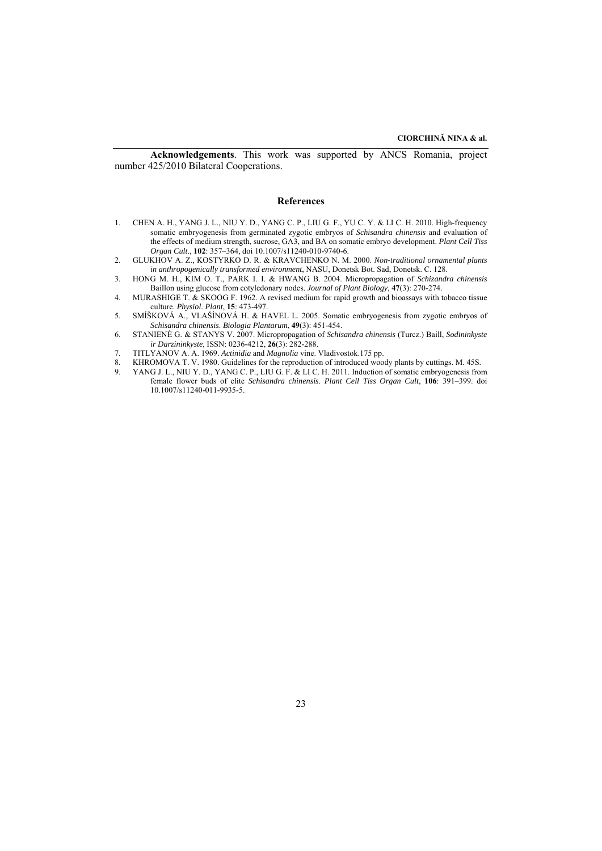**Acknowledgements**. This work was supported by ANCS Romania, project number 425/2010 Bilateral Cooperations.

#### **References**

- 1. CHEN A. H., YANG J. L., NIU Y. D., YANG C. P., LIU G. F., YU C. Y. & LI C. H. 2010. High-frequency somatic embryogenesis from germinated zygotic embryos of *Schisandra chinensis* and evaluation of the effects of medium strength, sucrose, GA3, and BA on somatic embryo development. *Plant Cell Tiss Organ Cult*., **102**: 357–364, doi 10.1007/s11240-010-9740-6.
- 2. GLUKHOV A. Z., KOSTYRKO D. R. & KRAVCHENKO N. M. 2000. *Non-traditional ornamental plants in anthropogenically transformed environment*, NASU, Donetsk Bot. Sad, Donetsk. C. 128.
- 3. HONG M. H., KIM O. T., PARK I. I. & HWANG B. 2004. Micropropagation of *Schizandra chinensis* Baillon using glucose from cotyledonary nodes. *Journal of Plant Biology*, **47**(3): 270-274.
- 4. MURASHIGE T. & SKOOG F. 1962. A revised medium for rapid growth and bioassays with tobacco tissue culture. *Physiol*. *Plant*, **15**: 473-497.
- 5. SMÍŠKOVÁ A., VLAŠÍNOVÁ H. & HAVEL L. 2005. Somatic embryogenesis from zygotic embryos of *Schisandra chinensis*. *Biologia Plantarum*, **49**(3): 451-454.
- 6. STANIENĖ G. & STANYS V. 2007. Micropropagation of *Schisandra chinensis* (Turcz.) Baill, *Sodininkyste ir Darzininkyste*, ISSN: 0236-4212, **26**(3): 282-288.
- 7. TITLYANOV A. A. 1969. *Actinidia* and *Magnolia* vine. Vladivostok.175 pp.
- 8. KHROMOVA T. V. 1980. Guidelines for the reproduction of introduced woody plants by cuttings. M. 45S.<br>9. YANG J. L. NIUY D. YANG C. P. LIUG F. & LLC H. 2011. Induction of somatic embryogenesis fro
- 9. YANG J. L., NIU Y. D., YANG C. P., LIU G. F. & LI C. H. 2011. Induction of somatic embryogenesis from female flower buds of elite *Schisandra chinensis*. *Plant Cell Tiss Organ Cult*, **106**: 391–399. doi 10.1007/s11240-011-9935-5.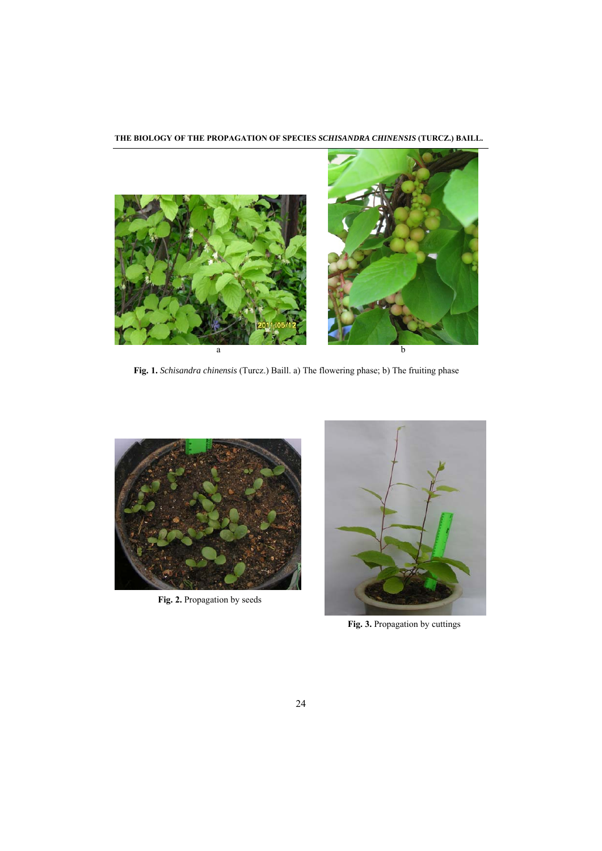**THE BIOLOGY OF THE PROPAGATION OF SPECIES** *SCHISANDRA CHINENSIS* **(TURCZ.) BAILL.** 



**Fig. 1.** *Schisandra chinensis* (Turcz.) Baill. a) The flowering phase; b) The fruiting phase



**Fig. 2.** Propagation by seeds



**Fig. 3.** Propagation by cuttings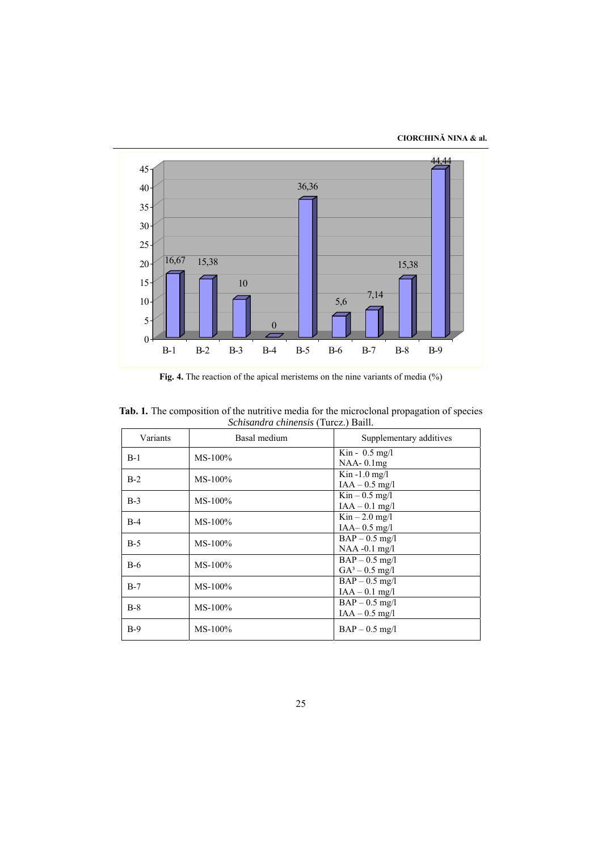**CIORCHINĂ NINA & al.** 



**Fig. 4.** The reaction of the apical meristems on the nine variants of media (%)

| Variants | Basal medium | Supplementary additives                              |  |  |  |
|----------|--------------|------------------------------------------------------|--|--|--|
| $B-1$    | $MS-100\%$   | $\text{Kin} - 0.5 \text{ mg/l}$<br>$NAA - 0.1mg$     |  |  |  |
| $B-2$    | $MS-100\%$   | Kin $-1.0$ mg/l<br>$IAA - 0.5$ mg/l                  |  |  |  |
| $B-3$    | $MS-100\%$   | $\text{Kin} - 0.5 \text{ mg/l}$<br>$IAA - 0.1$ mg/l  |  |  |  |
| $B-4$    | $MS-100\%$   | $\mathrm{Kin} - 2.0 \mathrm{mg/l}$<br>$IAA-0.5$ mg/l |  |  |  |
| $B-5$    | $MS-100\%$   | $BAP - 0.5$ mg/l<br>$NAA - 0.1$ mg/l                 |  |  |  |
| $B-6$    | $MS-100\%$   | $BAP - 0.5$ mg/l<br>$GA^3 - 0.5$ mg/l                |  |  |  |
| $B-7$    | $MS-100\%$   | $BAP - 0.5$ mg/l<br>$IAA - 0.1$ mg/l                 |  |  |  |
| $B-8$    | $MS-100\%$   | $BAP - 0.5$ mg/l<br>$IAA - 0.5$ mg/l                 |  |  |  |
| $B-9$    | $MS-100\%$   | $BAP - 0.5$ mg/l                                     |  |  |  |

**Tab. 1***.* The composition of the nutritive media for the microclonal propagation of species *Schisandra chinensis* (Turcz.) Baill.